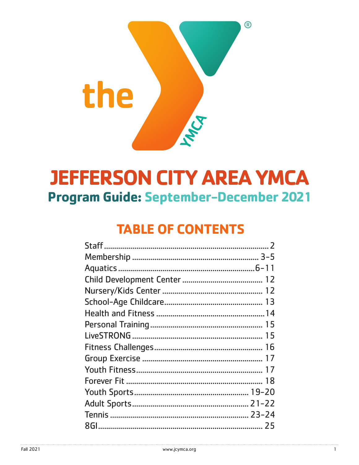

## **JEFFERSON CITY AREA YMCA** Program Guide: September-December 2021

## **TABLE OF CONTENTS**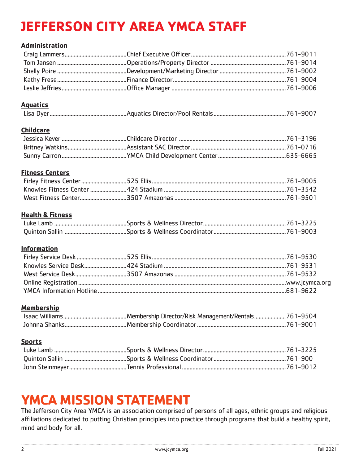## **JEFFERSON CITY AREA YMCA STAFF**

#### **Administration**

#### **Aquatics**

|--|

#### **Childcare**

#### **Fitness Centers**

#### **Health & Fitness**

#### **Information**

#### **Membership**

#### **Sports**

## **YMCA MISSION STATEMENT**

The Jefferson City Area YMCA is an association comprised of persons of all ages, ethnic groups and religious affiliations dedicated to putting Christian principles into practice through programs that build a healthy spirit, mind and body for all.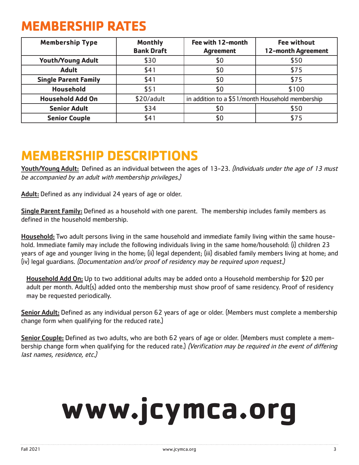## **MEMBERSHIP RATES**

| <b>Membership Type</b>      | <b>Monthly</b><br><b>Bank Draft</b> | Fee with 12-month<br><b>Agreement</b>            | <b>Fee without</b><br>12-month Agreement |
|-----------------------------|-------------------------------------|--------------------------------------------------|------------------------------------------|
| <b>Youth/Young Adult</b>    | \$30                                | \$0                                              | \$50                                     |
| <b>Adult</b>                | \$41                                | \$0                                              | \$75                                     |
| <b>Single Parent Family</b> | \$41                                | \$0                                              | \$75                                     |
| <b>Household</b>            | \$51                                | \$0                                              | \$100                                    |
| <b>Household Add On</b>     | \$20/adult                          | in addition to a \$51/month Household membership |                                          |
| <b>Senior Adult</b>         | \$34                                | \$0                                              | \$50                                     |
| <b>Senior Couple</b>        | \$41                                | \$0                                              | \$75                                     |

## **MEMBERSHIP DESCRIPTIONS**

Youth/Young Adult: Defined as an individual between the ages of 13-23. (Individuals under the age of 13 must be accompanied by an adult with membership privileges.)

Adult: Defined as any individual 24 years of age or older.

Single Parent Family: Defined as a household with one parent. The membership includes family members as defined in the household membership.

Household: Two adult persons living in the same household and immediate family living within the same household. Immediate family may include the following individuals living in the same home/household: (i) children 23 years of age and younger living in the home; (ii) legal dependent; (iii) disabled family members living at home; and (iv) legal guardians. (Documentation and/or proof of residency may be required upon request.)

Household Add On: Up to two additional adults may be added onto a Household membership for \$20 per adult per month. Adult(s) added onto the membership must show proof of same residency. Proof of residency may be requested periodically.

Senior Adult: Defined as any individual person 62 years of age or older. (Members must complete a membership change form when qualifying for the reduced rate.)

Senior Couple: Defined as two adults, who are both 62 years of age or older. (Members must complete a membership change form when qualifying for the reduced rate.) (Verification may be required in the event of differing last names, residence, etc.)

# **www.jcymca.org**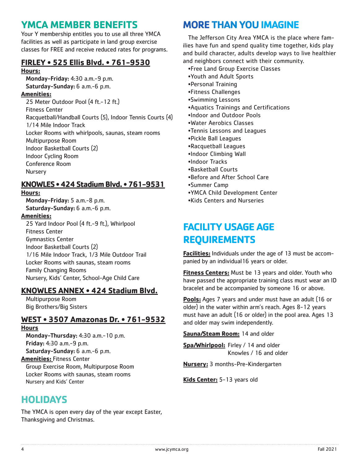## **YMCA MEMBER BENEFITS**

Your Y membership entitles you to use all three YMCA facilities as well as participate in land group exercise classes for FREE and receive reduced rates for programs.

### **FIRLEY • 525 Ellis Blvd. • 761-9530**

#### **Hours:**

Monday-Friday: 4:30 a.m.-9 p.m. Saturday-Sunday: 6 a.m.-6 p.m. **Amenities:** 25 Meter Outdoor Pool (4 ft.-12 ft.) Fitness Center Racquetball/Handball Courts (5), Indoor Tennis Courts (4) 1/14 Mile Indoor Track Locker Rooms with whirlpools, saunas, steam rooms Multipurpose Room Indoor Basketball Courts (2) Indoor Cycling Room Conference Room Nursery

#### **KNOWLES • 424 Stadium Blvd. • 761-9531**

#### **Hours:**

Monday-Friday: 5 a.m.-8 p.m. Saturday-Sunday: 6 a.m.-6 p.m.

#### **Amenities:**

25 Yard Indoor Pool (4 ft.-9 ft.), Whirlpool Fitness Center Gymnastics Center Indoor Basketball Courts (2) 1/16 Mile Indoor Track, 1/3 Mile Outdoor Trail Locker Rooms with saunas, steam rooms Family Changing Rooms Nursery, Kids' Center, School-Age Child Care

#### **KNOWLES ANNEX • 424 Stadium Blvd.**

Multipurpose Room Big Brothers/Big Sisters

#### **WEST • 3507 Amazonas Dr. • 761-9532**

#### **Hours**

Monday-Thursday: 4:30 a.m.-10 p.m. Friday: 4:30 a.m.-9 p.m. Saturday-Sunday: 6 a.m.-6 p.m. **Amenities:** Fitness Center Group Exercise Room, Multipurpose Room Locker Rooms with saunas, steam rooms

Nursery and Kids' Center

## **HOLIDAYS**

The YMCA is open every day of the year except Easter, Thanksgiving and Christmas.

## **MORE THAN YOUIMAGINE**

The Jefferson City Area YMCA is the place where families have fun and spend quality time together, kids play and build character, adults develop ways to live healthier and neighbors connect with their community.

- •Free Land Group Exercise Classes
- •Youth and Adult Sports
- •Personal Training
- •Fitness Challenges
- •Swimming Lessons
- •Aquatics Trainings and Certifications
- •Indoor and Outdoor Pools
- •Water Aerobics Classes
- •Tennis Lessons and Leagues
- •Pickle Ball Leagues
- •Racquetball Leagues
- •Indoor Climbing Wall
- •Indoor Tracks
- •Basketball Courts
- •Before and After School Care
- •Summer Camp
- •YMCA Child Development Center
- •Kids Centers and Nurseries

## **FACILITY USAGE AGE REQUIREMENTS**

**Facilities:** Individuals under the age of 13 must be accompanied by an individual16 years or older.

**Fitness Centers:** Must be 13 years and older. Youth who have passed the appropriate training class must wear an ID bracelet and be accompanied by someone 16 or above.

**Pools:** Ages 7 years and under must have an adult (16 or older) in the water within arm's reach. Ages 8-12 years must have an adult (16 or older) in the pool area. Ages 13 and older may swim independently.

**Sauna/Steam Room:** 14 and older

**Spa/Whirlpool:** Firley / 14 and older Knowles / 16 and older

**Nursery:** 3 months-Pre-Kindergarten

**Kids Center:** 5-13 years old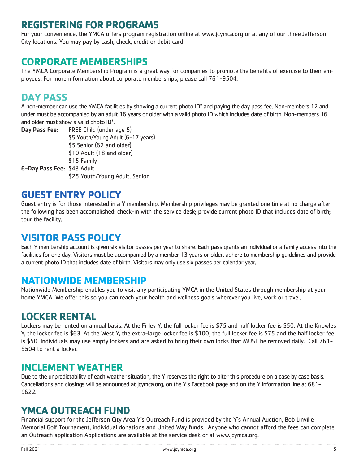### **REGISTERING FOR PROGRAMS**

For your convenience, the YMCA offers program registration online at www.jcymca.org or at any of our three Jefferson City locations. You may pay by cash, check, credit or debit card.

## **CORPORATE MEMBERSHIPS**

The YMCA Corporate Membership Program is a great way for companies to promote the benefits of exercise to their employees. For more information about corporate memberships, please call 761-9504.

## **DAY PASS**

A non-member can use the YMCA facilities by showing a current photo ID\* and paying the day pass fee. Non-members 12 and under must be accompanied by an adult 16 years or older with a valid photo ID which includes date of birth. Non-members 16 and older must show a valid photo ID\*.

Day Pass Fee: FREE Child (under age 5) \$5 Youth/Young Adult (6-17 years) \$5 Senior (62 and older) \$10 Adult (18 and older) \$15 Family 6-Day Pass Fee: \$48 Adult \$25 Youth/Young Adult, Senior

## **GUEST ENTRY POLICY**

Guest entry is for those interested in a Y membership. Membership privileges may be granted one time at no charge after the following has been accomplished: check-in with the service desk; provide current photo ID that includes date of birth; tour the facility.

## **VISITOR PASS POLICY**

Each Y membership account is given six visitor passes per year to share. Each pass grants an individual or a family access into the facilities for one day. Visitors must be accompanied by a member 13 years or older, adhere to membership guidelines and provide a current photo ID that includes date of birth. Visitors may only use six passes per calendar year.

### **NATIONWIDE MEMBERSHIP**

Nationwide Membership enables you to visit any participating YMCA in the United States through membership at your home YMCA. We offer this so you can reach your health and wellness goals wherever you live, work or travel.

## **LOCKER RENTAL**

Lockers may be rented on annual basis. At the Firley Y, the full locker fee is \$75 and half locker fee is \$50. At the Knowles Y, the locker fee is \$63. At the West Y, the extra-large locker fee is \$100, the full locker fee is \$75 and the half locker fee is \$50. Individuals may use empty lockers and are asked to bring their own locks that MUST be removed daily. Call 761- 9504 to rent a locker.

### **INCLEMENT WEATHER**

Due to the unpredictability of each weather situation, the Y reserves the right to alter this procedure on a case by case basis. Cancellations and closings will be announced at jcymca.org, on the Y's Facebook page and on the Y information line at 681- 9622.

## **YMCA OUTREACH FUND**

Financial support for the Jefferson City Area Y's Outreach Fund is provided by the Y's Annual Auction, Bob Linville Memorial Golf Tournament, individual donations and United Way funds. Anyone who cannot afford the fees can complete an Outreach application Applications are available at the service desk or at www.jcymca.org.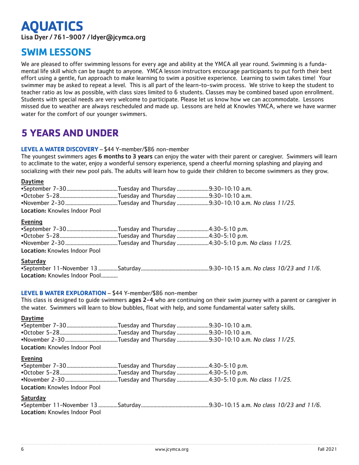## **AQUATICS**

Lisa Dyer / 761-9007 / ldyer@jcymca.org

## **SWIM LESSONS**

We are pleased to offer swimming lessons for every age and ability at the YMCA all year round. Swimming is a fundamental life skill which can be taught to anyone. YMCA lesson instructors encourage participants to put forth their best effort using a gentle, fun approach to make learning to swim a positive experience. Learning to swim takes time! Your swimmer may be asked to repeat a level. This is all part of the learn-to-swim process. We strive to keep the student to teacher ratio as low as possible, with class sizes limited to 6 students. Classes may be combined based upon enrollment. Students with special needs are very welcome to participate. Please let us know how we can accommodate. Lessons missed due to weather are always rescheduled and made up. Lessons are held at Knowles YMCA, where we have warmer water for the comfort of our younger swimmers.

## **5 YEARS AND UNDER**

#### **LEVEL A WATER DISCOVERY** – \$44 Y-member/\$86 non-member

The youngest swimmers ages 6 months to 3 years can enjoy the water with their parent or caregiver. Swimmers will learn to acclimate to the water, enjoy a wonderful sensory experience, spend a cheerful morning splashing and playing and socializing with their new pool pals. The adults will learn how to guide their children to become swimmers as they grow.

#### Daytime

| <b>Location: Knowles Indoor Pool</b> |  |
|--------------------------------------|--|
|                                      |  |

#### Evening

| <b>Location: Knowles Indoor Pool</b> |  |  |
|--------------------------------------|--|--|

#### **Saturday**

| Location: Knowles Indoor Pool |  |  |  |
|-------------------------------|--|--|--|

#### **LEVEL B WATER EXPLORATION** – \$44 Y-member/\$86 non-member

This class is designed to quide swimmers ages 2-4 who are continuing on their swim journey with a parent or caregiver in the water. Swimmers will learn to blow bubbles, float with help, and some fundamental water safety skills.

#### Daytime

| Location: Knowles Indoor Pool |  |
|-------------------------------|--|

#### Evening

| <b>Location: Knowles Indoor Pool</b> |  |
|--------------------------------------|--|

#### **Saturday**

| <b>Location: Knowles Indoor Pool</b> |  |  |  |  |  |
|--------------------------------------|--|--|--|--|--|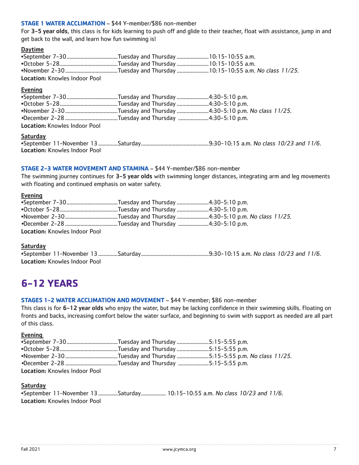#### **STAGE 1 WATER ACCLIMATION** – \$44 Y-member/\$86 non-member

For 3-5 year olds, this class is for kids learning to push off and glide to their teacher, float with assistance, jump in and get back to the wall, and learn how fun swimming is!

#### Daytime

| <b>Location: Knowles Indoor Pool</b> |  |  |  |  |  |  |
|--------------------------------------|--|--|--|--|--|--|

#### Evening

| <b>Location: Knowles Indoor Pool</b> |  |
|--------------------------------------|--|
| Saturday                             |  |

•September 11-November 13..............Saturday.................................................9:30-10:15 a.m. No class 10/23 and 11/6. Location: Knowles Indoor Pool

#### **STAGE 2-3 WATER MOVEMENT AND STAMINA** – \$44 Y-member/\$86 non-member

The swimming journey continues for 3-5 year olds with swimming longer distances, integrating arm and leg movements with floating and continued emphasis on water safety.

#### Evening

| <b>Location: Knowles Indoor Pool</b> |  |
|--------------------------------------|--|

#### **Saturday**

| Location: Knowles Indoor Pool |  |  |  |
|-------------------------------|--|--|--|

## **6-12 YEARS**

#### **STAGES 1-2 WATER ACCLIMATION AND MOVEMENT** – \$44 Y-member; \$86 non-member

This class is for 6-12 year olds who enjoy the water, but may be lacking confidence in their swimming skills. Floating on fronts and backs, increasing comfort below the water surface, and beginning to swim with support as needed are all part of this class.

#### Evening

| <b>Location: Knowles Indoor Pool</b> |  |
|--------------------------------------|--|

#### **Saturday**

•September 11-November 13..............Saturday.................. 10:15-10:55 a.m. No class 10/23 and 11/6. Location: Knowles Indoor Pool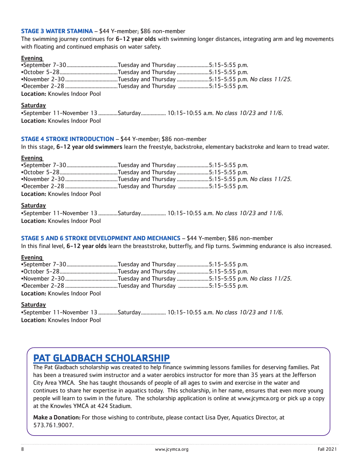#### **STAGE 3 WATER STAMINA** – \$44 Y-member; \$86 non-member

The swimming journey continues for 6-12 year olds with swimming longer distances, integrating arm and leg movements with floating and continued emphasis on water safety.

#### **Evening**

| Location: Knowles Indoor Pool |  |
|-------------------------------|--|

#### Saturday

|                                      | •September 11-November 13 Saturday  10:15-10:55 a.m. No class 10/23 and 11/6. |  |  |  |  |
|--------------------------------------|-------------------------------------------------------------------------------|--|--|--|--|
| <b>Location: Knowles Indoor Pool</b> |                                                                               |  |  |  |  |

#### **STAGE 4 STROKE INTRODUCTION** – \$44 Y-member; \$86 non-member

In this stage, 6-12 year old swimmers learn the freestyle, backstroke, elementary backstroke and learn to tread water.

#### Evening

| <b>Location: Knowles Indoor Pool</b> |  |
|--------------------------------------|--|

#### Saturday

|                               | .September 11-November 13 Saturday  10:15-10:55 a.m. No class 10/23 and 11/6 |  |  |  |  |
|-------------------------------|------------------------------------------------------------------------------|--|--|--|--|
| Location: Knowles Indoor Pool |                                                                              |  |  |  |  |

#### **STAGE 5 AND 6 STROKE DEVELOPMENT AND MECHANICS** – \$44 Y-member; \$86 non-member

In this final level, 6-12 year olds learn the breaststroke, butterfly, and flip turns. Swimming endurance is also increased.

#### Evening

| <b>Location: Knowles Indoor Pool</b> |  |
|--------------------------------------|--|

#### Saturday

•September 11-November 13..............Saturday.................. 10:15-10:55 a.m. No class 10/23 and 11/6. Location: Knowles Indoor Pool

## **PAT GLADBACH SCHOLARSHIP**

The Pat Gladbach scholarship was created to help finance swimming lessons families for deserving families. Pat has been a treasured swim instructor and a water aerobics instructor for more than 35 years at the Jefferson City Area YMCA. She has taught thousands of people of all ages to swim and exercise in the water and continues to share her expertise in aquatics today. This scholarship, in her name, ensures that even more young people will learn to swim in the future. The scholarship application is online at www.jcymca.org or pick up a copy at the Knowles YMCA at 424 Stadium.

Make a Donation: For those wishing to contribute, please contact Lisa Dyer, Aquatics Director, at 573.761.9007.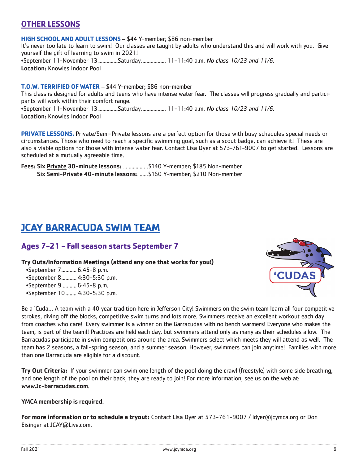#### **OTHER LESSONS**

**HIGH SCHOOL AND ADULT LESSONS** – \$44 Y-member; \$86 non-member It's never too late to learn to swim! Our classes are taught by adults who understand this and will work with you. Give yourself the gift of learning to swim in 2021! •September 11-November 13................Saturday.................. 11-11:40 a.m. No class 10/23 and 11/6. Location: Knowles Indoor Pool

**T.O.W. TERRIFIED OF WATER** – \$44 Y-member; \$86 non-member This class is designed for adults and teens who have intense water fear. The classes will progress gradually and participants will work within their comfort range. •September 11-November 13................Saturday.................. 11-11:40 a.m. No class 10/23 and 11/6. Location: Knowles Indoor Pool

**PRIVATE LESSONS.** Private/Semi-Private lessons are a perfect option for those with busy schedules special needs or circumstances. Those who need to reach a specific swimming goal, such as a scout badge, can achieve it! These are also a viable options for those with intense water fear. Contact Lisa Dyer at 573-761-9007 to get started! Lessons are scheduled at a mutually agreeable time.

Fees: Six **Private 30-minute lessons: ..................**\$140 Y-member; \$185 Non-member Six Semi-Private 40-minute lessons: ......\$160 Y-member; \$210 Non-member

## **JCAY BARRACUDA SWIM TEAM**

#### **Ages 7-21 - Fall season starts September 7**

**Try Outs/Information Meetings (attend any one that works for you!)** 

•September 7........... 6:45-8 p.m. •September 8........... 4:30-5:30 p.m. •September 9........... 6:45-8 p.m. •September 10........ 4:30-5:30 p.m.



Be a 'Cuda… A team with a 40 year tradition here in Jefferson City! Swimmers on the swim team learn all four competitive strokes, diving off the blocks, competitive swim turns and lots more. Swimmers receive an excellent workout each day from coaches who care! Every swimmer is a winner on the Barracudas with no bench warmers! Everyone who makes the team, is part of the team!! Practices are held each day, but swimmers attend only as many as their schedules allow. The Barracudas participate in swim competitions around the area. Swimmers select which meets they will attend as well. The team has 2 seasons, a fall-spring season, and a summer season. However, swimmers can join anytime! Families with more than one Barracuda are eligible for a discount.

**Try Out Criteria:** If your swimmer can swim one length of the pool doing the crawl (freestyle) with some side breathing, and one length of the pool on their back, they are ready to join! For more information, see us on the web at: www.Jc-barracudas.com.

#### YMCA membership is required.

**For more information or to schedule a tryout:** Contact Lisa Dyer at 573-761-9007 / ldyer@jcymca.org or Don Eisinger at JCAY@Live.com.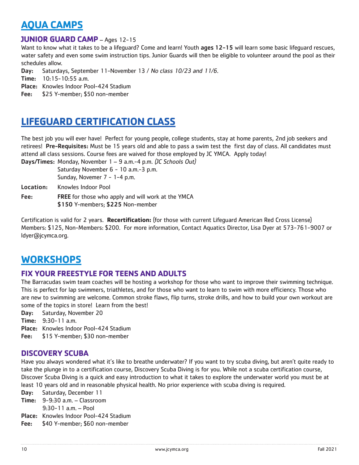## **AQUA CAMPS**

#### **JUNIOR GUARD CAMP** – Ages 12-15

Want to know what it takes to be a lifeguard? Come and learn! Youth ages 12-15 will learn some basic lifeguard rescues, water safety and even some swim instruction tips. Junior Guards will then be eligible to volunteer around the pool as their schedules allow.

Day: Saturdays, September 11-November 13 / No class 10/23 and 11/6.

Time: 10:15-10:55 a.m.

Place: Knowles Indoor Pool-424 Stadium

Fee: \$25 Y-member; \$50 non-member

## **LIFEGUARD CERTIFICATION CLASS**

The best job you will ever have! Perfect for young people, college students, stay at home parents, 2nd job seekers and retirees! Pre-Requisites: Must be 15 years old and able to pass a swim test the first day of class. All candidates must attend all class sessions. Course fees are waived for those employed by JC YMCA. Apply today!

Days/Times: Monday, November 1 – 9 a.m.-4 p.m. (JC Schools Out) Saturday November 6 - 10 a.m. - 3 p.m.

Sunday, Novemer 7 - 1-4 p.m.

Location: Knowles Indoor Pool

Fee: FREE for those who apply and will work at the YMCA \$150 Y-members; \$225 Non-member

Certification is valid for 2 years. **Recertification:** (for those with current Lifeguard American Red Cross License) Members: \$125, Non-Members: \$200. For more information, Contact Aquatics Director, Lisa Dyer at 573-761-9007 or ldyer@jcymca.org.

## **WORKSHOPS**

#### **FIX YOUR FREESTYLE FOR TEENS AND ADULTS**

The Barracudas swim team coaches will be hosting a workshop for those who want to improve their swimming technique. This is perfect for lap swimmers, triathletes, and for those who want to learn to swim with more efficiency. Those who are new to swimming are welcome. Common stroke flaws, flip turns, stroke drills, and how to build your own workout are some of the topics in store! Learn from the best!

Day: Saturday, November 20

Time: 9:30-11 a.m.

- Place: Knowles Indoor Pool-424 Stadium
- Fee: \$15 Y-member; \$30 non-member

#### **DISCOVERY SCUBA**

Have you always wondered what it's like to breathe underwater? If you want to try scuba diving, but aren't quite ready to take the plunge in to a certification course, Discovery Scuba Diving is for you. While not a scuba certification course, Discover Scuba Diving is a quick and easy introduction to what it takes to explore the underwater world you must be at least 10 years old and in reasonable physical health. No prior experience with scuba diving is required.

Day: Saturday, December 11

Time: 9-9:30 a.m. – Classroom

9:30-11 a.m. – Pool

Place: Knowles Indoor Pool-424 Stadium

Fee: \$40 Y-member; \$60 non-member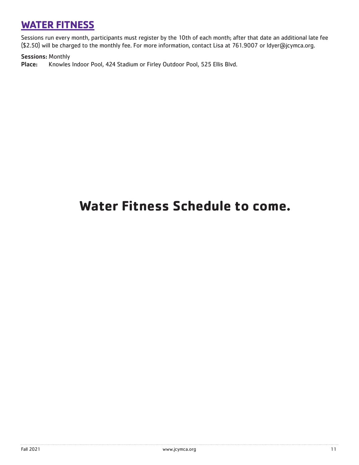## **WATER FITNESS**

Sessions run every month, participants must register by the 10th of each month; after that date an additional late fee (\$2.50) will be charged to the monthly fee. For more information, contact Lisa at 761.9007 or ldyer@jcymca.org.

Sessions: Monthly

Place: Knowles Indoor Pool, 424 Stadium or Firley Outdoor Pool, 525 Ellis Blvd.

#### This compiled of deep water of deep water exercises (a buoyance belt is not deep and resistance work is negoti **Water Fitness Schedule to come.**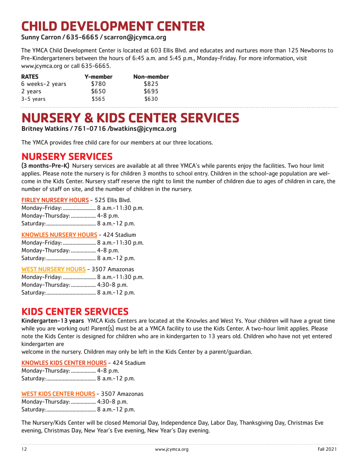## **CHILD DEVELOPMENT CENTER**

Sunny Carron / 635-6665 / scarron@jcymca.org

The YMCA Child Development Center is located at 603 Ellis Blvd. and educates and nurtures more than 125 Newborns to Pre-Kindergarteners between the hours of 6:45 a.m. and 5:45 p.m., Monday-Friday. For more information, visit www.jcymca.org or call 635-6665.

| <b>RATES</b>    | Y-member | Non-member |
|-----------------|----------|------------|
| 6 weeks-2 years | \$780    | \$825      |
| 2 years         | \$650    | \$695      |
| $3-5$ years     | \$565    | \$630      |

## **NURSERY & KIDS CENTER SERVICES**

Britney Watkins / 761-0716 /bwatkins@jcymca.org

The YMCA provides free child care for our members at our three locations.

## **NURSERY SERVICES**

(3 months-Pre-K) Nursery services are available at all three YMCA's while parents enjoy the facilities. Two hour limit applies. Please note the nursery is for children 3 months to school entry. Children in the school-age population are welcome in the Kids Center. Nursery staff reserve the right to limit the number of children due to ages of children in care, the number of staff on site, and the number of children in the nursery.

FIRLEY NURSERY HOURS - 525 Ellis Blvd.

| Monday-Friday:  8 a.m.-11:30 p.m. |  |  |  |  |  |
|-----------------------------------|--|--|--|--|--|
|-----------------------------------|--|--|--|--|--|

Monday-Thursday: .................. 4-8 p.m.

Saturday:.................................... 8 a.m.-12 p.m.

KNOWLES NURSERY HOURS - 424 Stadium Monday-Friday:........................ 8 a.m.-11:30 p.m. Monday-Thursday: .................. 4-8 p.m. Saturday:.................................... 8 a.m.-12 p.m.

| <b>WEST NURSERY HOURS</b> - 3507 Amazonas |  |
|-------------------------------------------|--|
| Monday-Friday:  8 a.m.-11:30 p.m.         |  |
| Monday-Thursday:  4:30-8 p.m.             |  |
|                                           |  |

## **KIDS CENTER SERVICES**

Kindergarten-13 years YMCA Kids Centers are located at the Knowles and West Ys. Your children will have a great time while you are working out! Parent(s) must be at a YMCA facility to use the Kids Center. A two-hour limit applies. Please note the Kids Center is designed for children who are in kindergarten to 13 years old. Children who have not yet entered kindergarten are

welcome in the nursery. Children may only be left in the Kids Center by a parent/guardian.

KNOWLES KIDS CENTER HOURS - 424 Stadium

| Monday-Thursday:  4-8 p.m. |  |
|----------------------------|--|
|                            |  |

WEST KIDS CENTER HOURS - 3507 Amazonas

Monday-Thursday: .................. 4:30-8 p.m.

Saturday:.................................... 8 a.m.-12 p.m.

The Nursery/Kids Center will be closed Memorial Day, Independence Day, Labor Day, Thanksgiving Day, Christmas Eve evening, Christmas Day, New Year's Eve evening, New Year's Day evening.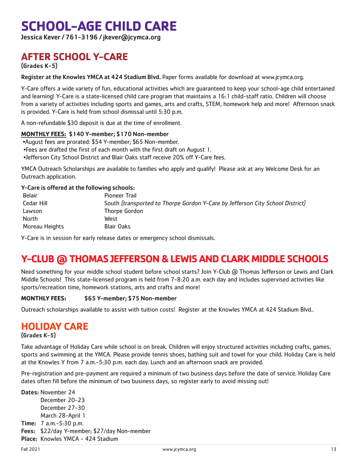## **SCHOOL-AGE CHILD CARE**

Jessica Kever / 761-3196 / jkever@jcymca.org

## **AFTER SCHOOL Y-CARE**

(Grades K-5)

Register at the Knowles YMCA at 424 Stadium Blvd. Paper forms available for download at www.jcymca.org.

Y-Care offers a wide variety of fun, educational activities which are guaranteed to keep your school-age child entertained and learning! Y-Care is a state-licensed child care program that maintains a 16:1 child-staff ratio. Children will choose from a variety of activities including sports and games, arts and crafts, STEM, homework help and more! Afternoon snack is provided. Y-Care is held from school dismissal until 5:30 p.m.

A non-refundable \$30 deposit is due at the time of enrollment.

#### **MONTHLY FEES:** \$140 Y-member; \$170 Non-member

- •August fees are prorated: \$54 Y-member; \$65 Non-member.
- •Fees are drafted the first of each month with the first draft on August 1.

•Jefferson City School District and Blair Oaks staff receive 20% off Y-Care fees.

YMCA Outreach Scholarships are available to families who apply and qualify! Please ask at any Welcome Desk for an Outreach application.

#### Y-Care is offered at the following schools:

| <b>Belair</b>  | <b>Pioneer Trail</b>                                                          |
|----------------|-------------------------------------------------------------------------------|
| Cedar Hill     | South (transported to Thorpe Gordon Y-Care by Jefferson City School District) |
| Lawson         | Thorpe Gordon                                                                 |
| North          | West                                                                          |
| Moreau Heights | Blair Oaks                                                                    |

Y-Care is in session for early release dates or emergency school dismissals.

## **Y-CLUB @ THOMAS JEFFERSON & LEWIS AND CLARK MIDDLE SCHOOLS**

Need something for your middle school student before school starts? Join Y-Club @ Thomas Jefferson or Lewis and Clark Middle Schools! This state-licensed program is held from 7-8:20 a.m. each day and includes supervised activities like sports/recreation time, homework stations, arts and crafts and more!

#### **MONTHLY FEES:** \$65 Y-member; \$75 Non-member

Outreach scholarships available to assist with tuition costs! Register at the Knowles YMCA at 424 Stadium Blvd..

### **HOLIDAY CARE**

#### (Grades K-5)

Take advantage of Holiday Care while school is on break. Children will enjoy structured activities including crafts, games, sports and swimming at the YMCA. Please provide tennis shoes, bathing suit and towel for your child. Holiday Care is held at the Knowles Y from 7 a.m.-5:30 p.m. each day. Lunch and an afternoon snack are provided.

Pre-registration and pre-payment are required a minimum of two business days before the date of service. Holiday Care dates often fill before the minimum of two business days, so register early to avoid missing out!

Dates: November 24 December 20-23 December 27-30 March 28-April 1 Time: 7 a.m.-5:30 p.m. Fees: \$22/day Y-member; \$27/day Non-member Place: Knowles YMCA - 424 Stadium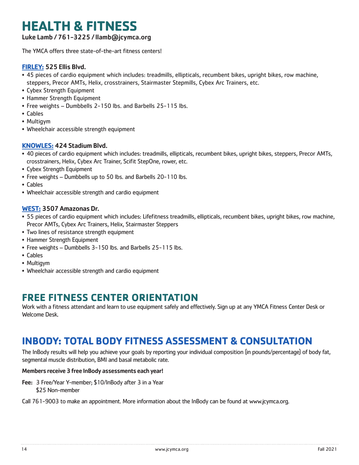## **HEALTH & FITNESS**

Luke Lamb / 761-3225 / llamb@jcymca.org

The YMCA offers three state-of-the-art fitness centers!

#### **FIRLEY:** 525 Ellis Blvd.

- 45 pieces of cardio equipment which includes: treadmills, ellipticals, recumbent bikes, upright bikes, row machine, steppers, Precor AMTs, Helix, crosstrainers, Stairmaster Stepmills, Cybex Arc Trainers, etc.
- Cybex Strength Equipment
- Hammer Strength Equipment
- Free weights Dumbbells 2-150 lbs. and Barbells 25-115 lbs.
- Cables
- Multigym
- Wheelchair accessible strength equipment

#### **KNOWLES:** 424 Stadium Blvd.

- 40 pieces of cardio equipment which includes: treadmills, ellipticals, recumbent bikes, upright bikes, steppers, Precor AMTs, crosstrainers, Helix, Cybex Arc Trainer, Scifit StepOne, rower, etc.
- Cybex Strength Equipment
- Free weights Dumbbells up to 50 lbs. and Barbells 20-110 lbs.
- Cables
- Wheelchair accessible strength and cardio equipment

#### **WEST:** 3507 Amazonas Dr.

- 55 pieces of cardio equipment which includes: Lifefitness treadmills, ellipticals, recumbent bikes, upright bikes, row machine, Precor AMTs, Cybex Arc Trainers, Helix, Stairmaster Steppers
- Two lines of resistance strength equipment
- Hammer Strength Equipment
- Free weights Dumbbells 3-150 lbs. and Barbells 25-115 lbs.
- Cables
- Multigym
- Wheelchair accessible strength and cardio equipment

### **FREE FITNESS CENTER ORIENTATION**

Work with a fitness attendant and learn to use equipment safely and effectively. Sign up at any YMCA Fitness Center Desk or Welcome Desk.

## **INBODY: TOTAL BODY FITNESS ASSESSMENT & CONSULTATION**

The InBody results will help you achieve your goals by reporting your individual composition (in pounds/percentage) of body fat, segmental muscle distribution, BMI and basal metabolic rate.

#### Members receive 3 free InBody assessments each year!

- Fee: 3 Free/Year Y-member; \$10/InBody after 3 in a Year \$25 Non-member
- Call 761-9003 to make an appointment. More information about the InBody can be found at www.jcymca.org.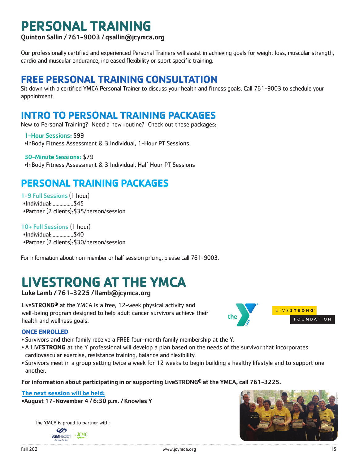## **PERSONAL TRAINING**

Quinton Sallin / 761-9003 / qsallin@jcymca.org

Our professionally certified and experienced Personal Trainers will assist in achieving goals for weight loss, muscular strength, cardio and muscular endurance, increased flexibility or sport specific training.

## **FREE PERSONAL TRAINING CONSULTATION**

Sit down with a certified YMCA Personal Trainer to discuss your health and fitness goals. Call 761-9003 to schedule your appointment.

## **INTRO TO PERSONAL TRAINING PACKAGES**

New to Personal Training? Need a new routine? Check out these packages:

1-Hour Sessions: \$99 •InBody Fitness Assessment & 3 Individual, 1-Hour PT Sessions

30-Minute Sessions: \$79 •InBody Fitness Assessment & 3 Individual, Half Hour PT Sessions

## **PERSONAL TRAINING PACKAGES**

1-9 Full Sessions (1 hour) •Individual: ...............\$45 •Partner (2 clients):\$35/person/session

10+ Full Sessions (1 hour) •Individual: ...............\$40 •Partner (2 clients):\$30/person/session

For information about non-member or half session pricing, please call 761-9003.

## **LIVESTRONG AT THE YMCA**

#### Luke Lamb / 761-3225 / llamb@jcymca.org

LiveSTRONG**®** at the YMCA is a free, 12-week physical activity and well-being program designed to help adult cancer survivors achieve their health and wellness goals.



- Survivors and their family receive a FREE four-month family membership at the Y.
- A LIVE**STRONG** at the Y professional will develop a plan based on the needs of the survivor that incorporates cardiovascular exercise, resistance training, balance and flexibility.
- Survivors meet in a group setting twice a week for 12 weeks to begin building a healthy lifestyle and to support one another.

For information about participating in or supporting LiveSTRONG® at the YMCA, call 761-3225.

#### **The next session will be held:**

•August 17-November 4 / 6:30 p.m. / Knowles Y

The YMCA is proud to partner with:





LIVESTRONG

FOUNDATION

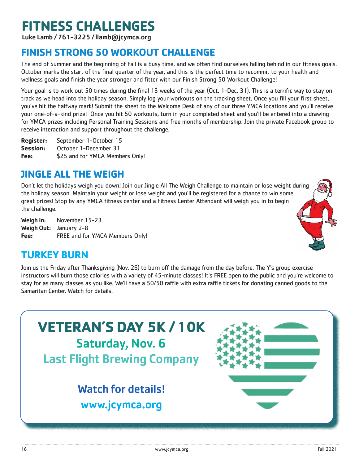## **FITNESS CHALLENGES**

Luke Lamb / 761-3225 / llamb@jcymca.org

## **FINISH STRONG 50 WORKOUT CHALLENGE**

The end of Summer and the beginning of Fall is a busy time, and we often find ourselves falling behind in our fitness goals. October marks the start of the final quarter of the year, and this is the perfect time to recommit to your health and wellness goals and finish the year stronger and fitter with our Finish Strong 50 Workout Challenge!

Your goal is to work out 50 times during the final 13 weeks of the year (Oct. 1-Dec. 31). This is a terrific way to stay on track as we head into the holiday season. Simply log your workouts on the tracking sheet. Once you fill your first sheet, you've hit the halfway mark! Submit the sheet to the Welcome Desk of any of our three YMCA locations and you'll receive your one-of-a-kind prize! Once you hit 50 workouts, turn in your completed sheet and you'll be entered into a drawing for YMCA prizes including Personal Training Sessions and free months of membership. Join the private Facebook group to receive interaction and support throughout the challenge.

**Register:** September 1-October 15 **Session:** October 1-December 31 **Fee:** \$25 and for YMCA Members Only!

## **JINGLE ALL THE WEIGH**

Don't let the holidays weigh you down! Join our Jingle All The Weigh Challenge to maintain or lose weight during the holiday season. Maintain your weight or lose weight and you'll be registered for a chance to win some great prizes! Stop by any YMCA fitness center and a Fitness Center Attendant will weigh you in to begin the challenge.

Weigh In: November 15-23 Weigh Out: January 2-8 **Fee:** FREE and for YMCA Members Only!



## **TURKEY BURN**

Join us the Friday after Thanksgiving (Nov. 26) to burn off the damage from the day before. The Y's group exercise instructors will burn those calories with a variety of 45-minute classes! It's FREE open to the public and you're welcome to stay for as many classes as you like. We'll have a 50/50 raffle with extra raffle tickets for donating canned goods to the Samaritan Center. Watch for details!

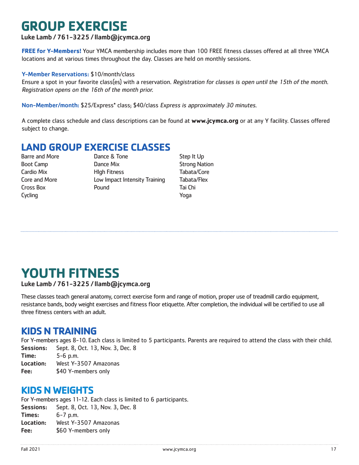## **GROUP EXERCISE**

#### Luke Lamb / 761-3225 / llamb@jcymca.org

**FREE for Y-Members!** Your YMCA membership includes more than 100 FREE fitness classes offered at all three YMCA locations and at various times throughout the day. Classes are held on monthly sessions.

#### Y-Member Reservations: \$10/month/class

Ensure a spot in your favorite class(es) with a reservation. Registration for classes is open until the 15th of the month. Registration opens on the 16th of the month prior.

Non-Member/month: \$25/Express\* class; \$40/class Express is approximately 30 minutes.

A complete class schedule and class descriptions can be found at **www.jcymca.org** or at any Y facility. Classes offered subject to change.

## **LAND GROUP EXERCISE CLASSES**<br>Barre and More<br>Dance & Tone

Cycling **Cycling Cycling** 

Barre and More **Cance & Tone** Step It Up Boot Camp **Dance Mix** Dance Mix Strong Nation Cardio Mix HIgh Fitness Tabata/Core Core and More Low Impact Intensity Training Tabata/Flex Cross Box Pound Tai Chi

## **YOUTH FITNESS**

#### Luke Lamb / 761-3225 / llamb@jcymca.org

These classes teach general anatomy, correct exercise form and range of motion, proper use of treadmill cardio equipment, resistance bands, body weight exercises and fitness floor etiquette. After completion, the individual will be certified to use all three fitness centers with an adult.

### **KIDS N TRAINING**

For Y-members ages 8-10. Each class is limited to 5 participants. Parents are required to attend the class with their child. Sessions: Sept. 8, Oct. 13, Nov. 3, Dec. 8

Time: 5-6 p.m. Location: West Y-3507 Amazonas Fee: \$40 Y-members only

### **KIDS N WEIGHTS**

For Y-members ages 11-12. Each class is limited to 6 participants. Sessions: Sept. 8, Oct. 13, Nov. 3, Dec. 8 Times: 6-7 p.m. Location: West Y-3507 Amazonas Fee: \$60 Y-members only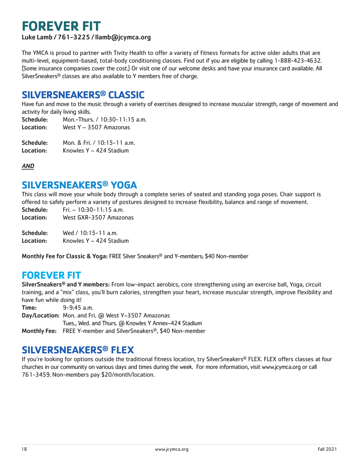## **FOREVER FIT**

Luke Lamb / 761-3225 / llamb@jcymca.org

The YMCA is proud to partner with Tivity Health to offer a variety of fitness formats for active older adults that are multi-level, equipment-based, total-body conditioning classes. Find out if you are eligible by calling 1-888-423-4632. (Some insurance companies cover the cost.) Or visit one of our welcome desks and have your insurance card available. All SilverSneakers® classes are also available to Y members free of charge.

### **SILVERSNEAKERS® CLASSIC**

Have fun and move to the music through a variety of exercises designed to increase muscular strength, range of movement and activity for daily living skills.

Schedule: Mon.-Thurs. / 10:30-11:15 a.m. Location: West Y – 3507 Amazonas

Schedule: Mon. & Fri. / 10:15-11 a.m. Location: Knowles Y – 424 Stadium

AND

### **SILVERSNEAKERS® YOGA**

This class will move your whole body through a complete series of seated and standing yoga poses. Chair support is offered to safely perform a variety of postures designed to increase flexibility, balance and range of movement.

Schedule: Fri. – 10:30-11:15 a.m.

Location: West GXR-3507 Amazonas

Schedule: Wed / 10.15-11 a.m. Location: Knowles Y - 424 Stadium

Monthly Fee for Classic & Yoga: FREE Silver Sneakers® and Y-members; \$40 Non-member

## **FOREVER FIT**

SilverSneakers® and Y members: From low-impact aerobics, core strengthening using an exercise ball, Yoga, circuit training, and a "mix" class, you'll burn calories, strengthen your heart, increase muscular strength, improve flexibility and have fun while doing it!

Time: 9-9:45 a.m. Day/Location: Mon. and Fri. @ West Y–3507 Amazonas Tues., Wed. and Thurs. (a Knowles Y Annex-424 Stadium Monthly Fee: FREE Y-member and SilverSneakers®, \$40 Non-member

## **SILVERSNEAKERS® FLEX**

If you're looking for options outside the traditional fitness location, try SilverSneakers® FLEX. FLEX offers classes at four churches in our community on various days and times during the week. For more information, visit www.jcymca.org or call 761-3459. Non-members pay \$20/month/location.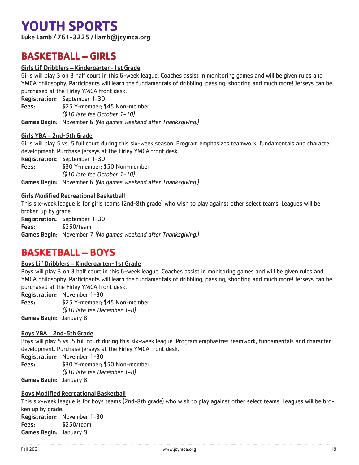## **YOUTH SPORTS**

Luke Lamb / 761-3225 / llamb@jcymca.org

## **BASKETBALL – GIRLS**

#### Girls Lil' Dribblers – Kindergarten-1st Grade

Girls will play 3 on 3 half court in this 6-week league. Coaches assist in monitoring games and will be given rules and YMCA philosophy. Participants will learn the fundamentals of dribbling, passing, shooting and much more! Jerseys can be purchased at the Firley YMCA front desk.

Registration: September 1-30

Fees: \$25 Y-member; \$45 Non-member (\$10 late fee October 1-10)

Games Begin: November 6 (No games weekend after Thanksgiving.)

#### Girls YBA – 2nd-5th Grade

Girls will play 5 vs. 5 full court during this six-week season. Program emphasizes teamwork, fundamentals and character development. Purchase jerseys at the Firley YMCA front desk.

Registration: September 1-30 Fees: \$30 Y-member; \$50 Non-member (\$10 late fee October 1-10) Games Begin: November 6 (No games weekend after Thanksgiving.)

#### Girls Modified Recreational Basketball

This six-week league is for girls teams (2nd-8th grade) who wish to play against other select teams. Leagues will be broken up by grade.

Registration: September 1-30 Fees: \$250/team Games Begin: November 7 (No games weekend after Thanksgiving.)

### **BASKETBALL – BOYS**

#### Boys Lil' Dribblers – Kindergarten-1st Grade

Boys will play 3 on 3 half court in this 6-week league. Coaches assist in monitoring games and will be given rules and YMCA philosophy. Participants will learn the fundamentals of dribbling, passing, shooting and much more! Jerseys can be purchased at the Firley YMCA front desk.

Registration: November 1-30 Fees: \$25 Y-member; \$45 Non-member (\$10 late fee December 1-8)

Games Begin: January 8

#### Boys YBA – 2nd-5th Grade

Boys will play 5 vs. 5 full court during this six-week league. Program emphasizes teamwork, fundamentals and character development. Purchase jerseys at the Firley YMCA front desk.

Registration: November 1-30 Fees: \$30 Y-member; \$50 Non-member (\$10 late fee December 1-8)

Games Begin: January 8

#### Boys Modified Recreational Basketball

This six-week league is for boys teams (2nd-8th grade) who wish to play against other select teams. Leagues will be broken up by grade.

Registration: November 1-30 Fees: \$250/team Games Begin: January 9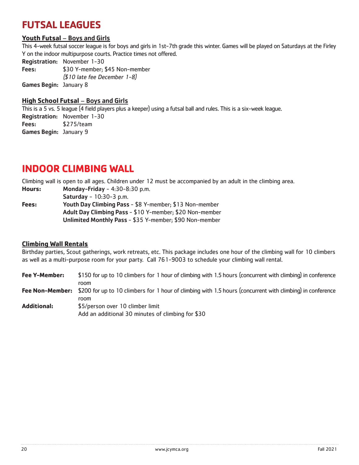## **FUTSAL LEAGUES**

#### **Youth Futsal** – Boys and Girls

This 4-week futsal soccer league is for boys and girls in 1st-7th grade this winter. Games will be played on Saturdays at the Firley Y on the indoor multipurpose courts. Practice times not offered.

Registration: November 1-30

Fees: \$30 Y-member; \$45 Non-member (\$10 late fee December 1-8)

Games Begin: January 8

#### **High School Futsal** – Boys and Girls

This is a 5 vs. 5 league (4 field players plus a keeper) using a futsal ball and rules. This is a six-week league. Registration: November 1-30 Fees: \$275/team Games Begin: January 9

### **INDOOR CLIMBING WALL**

Climbing wall is open to all ages. Children under 12 must be accompanied by an adult in the climbing area.

**Hours:** Monday-Friday - 4:30-8:30 p.m.

Saturday - 10:30-3 p.m.

**Fees:** Youth Day Climbing Pass - \$8 Y-member; \$13 Non-member Adult Day Climbing Pass - \$10 Y-member; \$20 Non-member Unlimited Monthly Pass - \$35 Y-member; \$90 Non-member

#### **Climbing Wall Rentals**

Birthday parties, Scout gatherings, work retreats, etc. This package includes one hour of the climbing wall for 10 climbers as well as a multi-purpose room for your party. Call 761-9003 to schedule your climbing wall rental.

**Fee Y-Member:** \$150 for up to 10 climbers for 1 hour of climbing with 1.5 hours (concurrent with climbing) in conference room Fee Non-Member: \$200 for up to 10 climbers for 1 hour of climbing with 1.5 hours (concurrent with climbing) in conference room **Additional:** \$5/person over 10 climber limit Add an additional 30 minutes of climbing for \$30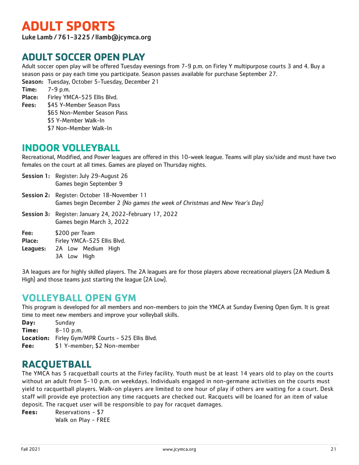## **ADULT SPORTS**

Luke Lamb / 761-3225 / llamb@jcymca.org

## **ADULT SOCCER OPEN PLAY**

Adult soccer open play will be offered Tuesday evenings from 7-9 p.m. on Firley Y multipurpose courts 3 and 4. Buy a season pass or pay each time you participate. Season passes available for purchase September 27.

Season: Tuesday, October 5-Tuesday, December 21

Time: 7-9 p.m. Place: Firley YMCA-525 Ellis Blvd.

Fees: \$45 Y-Member Season Pass \$65 Non-Member Season Pass \$5 Y-Member Walk-In \$7 Non-Member Walk-In

## **INDOOR VOLLEYBALL**

Recreational, Modified, and Power leagues are offered in this 10-week league. Teams will play six/side and must have two females on the court at all times. Games are played on Thursday nights.

- Session 1: Register: July 29-August 26 Games begin September 9 Session 2: Register: October 18-November 11
- Games begin December 2 (No games the week of Christmas and New Year's Day)
- Session 3: Register: January 24, 2022-February 17, 2022 Games begin March 3, 2022
- Fee: \$200 per Team
- Place: Firley YMCA-525 Ellis Blvd.
- Leagues: 2A Low Medium High
	- 3A Low High

3A leagues are for highly skilled players. The 2A leagues are for those players above recreational players (2A Medium & High) and those teams just starting the league (2A Low).

## **VOLLEYBALL OPEN GYM**

This program is developed for all members and non-members to join the YMCA at Sunday Evening Open Gym. It is great time to meet new members and improve your volleyball skills.

**Day:** Sunday **Time:** 8-10 p.m. **Location:** Firley Gym/MPR Courts - 525 Ellis Blvd. **Fee:** \$1 Y-member; \$2 Non-member

## **RACQUETBALL**

The YMCA has 5 racquetball courts at the Firley facility. Youth must be at least 14 years old to play on the courts without an adult from 5-10 p.m. on weekdays. Individuals engaged in non-germane activities on the courts must yield to racquetball players. Walk-on players are limited to one hour of play if others are waiting for a court. Desk staff will provide eye protection any time racquets are checked out. Racquets will be loaned for an item of value deposit. The racquet user will be responsible to pay for racquet damages.

**Fees:** Reservations - \$7 Walk on Play - FREE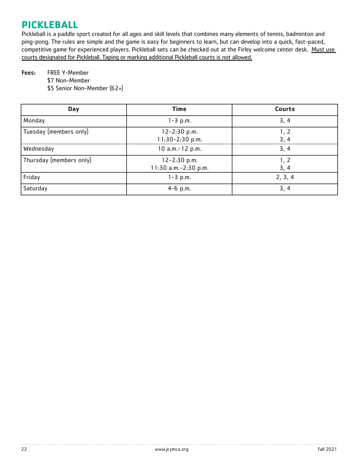## **PICKLEBALL**

Pickleball is a paddle sport created for all ages and skill levels that combines many elements of tennis, badminton and ping-pong. The rules are simple and the game is easy for beginners to learn, but can develop into a quick, fast-paced, competitive game for experienced players. Pickleball sets can be checked out at the Firley welcome center desk. Must use courts designated for Pickleball. Taping or marking additional Pickleball courts is not allowed.

#### Fees: FREE Y-Member

\$7 Non-Member

\$5 Senior Non-Member (62+)

| <b>Day</b>              | <b>Time</b>                              | <b>Courts</b> |
|-------------------------|------------------------------------------|---------------|
| Monday                  | $1 - 3$ p.m.                             | 3, 4          |
| Tuesday (members only)  | $12 - 2:30$ p.m.<br>$11:30-2:30$ p.m.    | 1, 2<br>3, 4  |
| Wednesday               | 10 a.m.-12 p.m.                          | 3, 4          |
| Thursday (members only) | $12 - 2:30$ p.m.<br>11:30 a.m.-2:30 p.m. | 1, 2<br>3, 4  |
| Friday                  | $1 - 3$ p.m.                             | 2, 3, 4       |
| Saturday                | $4-6$ p.m.                               | 3, 4          |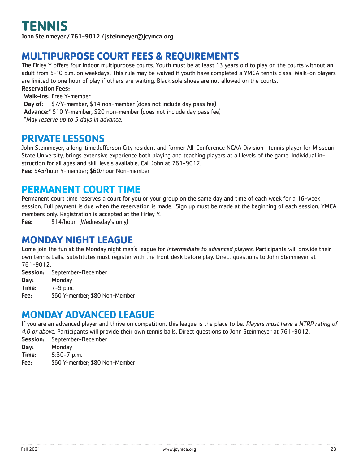John Steinmeyer / 761-9012 / jsteinmeyer@jcymca.org

## **MULTIPURPOSE COURT FEES & REQUIREMENTS**

The Firley Y offers four indoor multipurpose courts. Youth must be at least 13 years old to play on the courts without an adult from 5-10 p.m. on weekdays. This rule may be waived if youth have completed a YMCA tennis class. Walk-on players are limited to one hour of play if others are waiting. Black sole shoes are not allowed on the courts.

Reservation Fees:

Walk-ins: Free Y-member Day of: \$7/Y-member; \$14 non-member (does not include day pass fee) Advance:\* \$10 Y-member; \$20 non-member (does not include day pass fee) \*May reserve up to 5 days in advance.

### **PRIVATE LESSONS**

John Steinmeyer, a long-time Jefferson City resident and former All-Conference NCAA Division I tennis player for Missouri State University, brings extensive experience both playing and teaching players at all levels of the game. Individual instruction for all ages and skill levels available. Call John at 761-9012. Fee: \$45/hour Y-member; \$60/hour Non-member

### **PERMANENT COURT TIME**

Permanent court time reserves a court for you or your group on the same day and time of each week for a 16-week session. Full payment is due when the reservation is made. Sign up must be made at the beginning of each session. YMCA members only. Registration is accepted at the Firley Y.

Fee: \$14/hour (Wednesday's only)

## **MONDAY NIGHT LEAGUE**

Come join the fun at the Monday night men's league for intermediate to advanced players. Participants will provide their own tennis balls. Substitutes must register with the front desk before play. Direct questions to John Steinmeyer at 761-9012.

Session: September-December Day: Monday Time: 7-9 p.m. Fee: \$60 Y-member; \$80 Non-Member

### **MONDAY ADVANCED LEAGUE**

If you are an advanced player and thrive on competition, this league is the place to be. Players must have a NTRP rating of 4.0 or above. Participants will provide their own tennis balls. Direct questions to John Steinmeyer at 761-9012.

- Session: September-December Day: Monday
- Time: 5:30-7 p.m.
- Fee: \$60 Y-member; \$80 Non-Member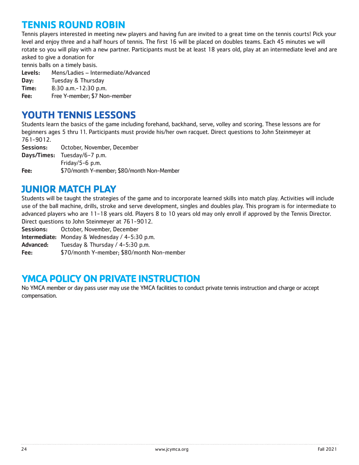## **TENNIS ROUND ROBIN**

Tennis players interested in meeting new players and having fun are invited to a great time on the tennis courts! Pick your level and enjoy three and a half hours of tennis. The first 16 will be placed on doubles teams. Each 45 minutes we will rotate so you will play with a new partner. Participants must be at least 18 years old, play at an intermediate level and are asked to give a donation for

tennis balls on a timely basis.

- Levels: Mens/Ladies Intermediate/Advanced
- Day: Tuesday & Thursday
- Time: 8:30 a.m.-12:30 p.m.
- Fee: Free Y-member; \$7 Non-member

## **YOUTH TENNIS LESSONS**

Students learn the basics of the game including forehand, backhand, serve, volley and scoring. These lessons are for beginners ages 5 thru 11. Participants must provide his/her own racquet. Direct questions to John Steinmeyer at 761-9012.

Sessions: October, November, December Days/Times: Tuesday/6-7 p.m. Friday/5-6 p.m. Fee: \$70/month Y-member; \$80/month Non-Member

## **JUNIOR MATCH PLAY**

Students will be taught the strategies of the game and to incorporate learned skills into match play. Activities will include use of the ball machine, drills, stroke and serve development, singles and doubles play. This program is for intermediate to advanced players who are 11-18 years old. Players 8 to 10 years old may only enroll if approved by the Tennis Director. Direct questions to John Steinmeyer at 761-9012.

Sessions: October, November, December

Intermediate: Monday & Wednesday / 4-5:30 p.m.

Advanced: Tuesday & Thursday / 4-5:30 p.m.

Fee: \$70/month Y-member; \$80/month Non-member

## **YMCA POLICY ON PRIVATE INSTRUCTION**

No YMCA member or day pass user may use the YMCA facilities to conduct private tennis instruction and charge or accept compensation.